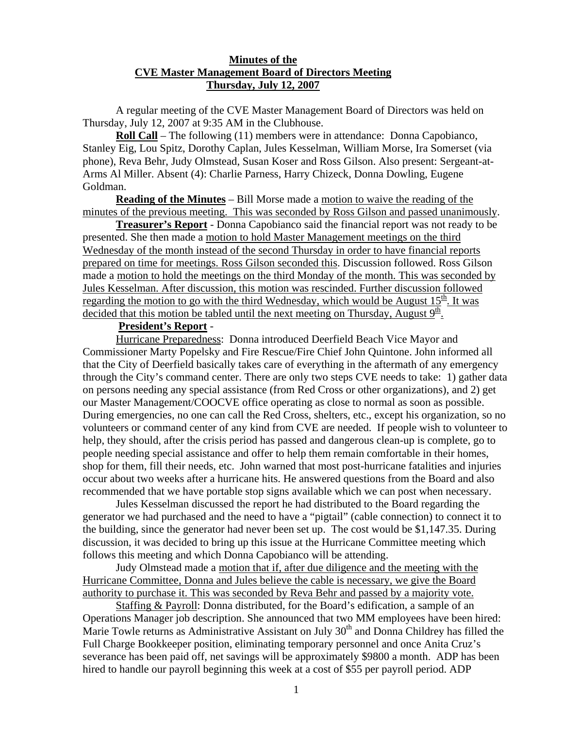## **Minutes of the CVE Master Management Board of Directors Meeting Thursday, July 12, 2007**

 A regular meeting of the CVE Master Management Board of Directors was held on Thursday, July 12, 2007 at 9:35 AM in the Clubhouse.

**Roll Call** – The following (11) members were in attendance: Donna Capobianco, Stanley Eig, Lou Spitz, Dorothy Caplan, Jules Kesselman, William Morse, Ira Somerset (via phone), Reva Behr, Judy Olmstead, Susan Koser and Ross Gilson. Also present: Sergeant-at-Arms Al Miller. Absent (4): Charlie Parness, Harry Chizeck, Donna Dowling, Eugene Goldman.

 **Reading of the Minutes** – Bill Morse made a motion to waive the reading of the minutes of the previous meeting. This was seconded by Ross Gilson and passed unanimously.

**Treasurer's Report** - Donna Capobianco said the financial report was not ready to be presented. She then made a motion to hold Master Management meetings on the third Wednesday of the month instead of the second Thursday in order to have financial reports prepared on time for meetings. Ross Gilson seconded this. Discussion followed. Ross Gilson made a motion to hold the meetings on the third Monday of the month. This was seconded by Jules Kesselman. After discussion, this motion was rescinded. Further discussion followed regarding the motion to go with the third Wednesday, which would be August  $15<sup>th</sup>$ . It was decided that this motion be tabled until the next meeting on Thursday, August  $9<sup>th</sup>$ .

## **President's Report** -

Hurricane Preparedness: Donna introduced Deerfield Beach Vice Mayor and Commissioner Marty Popelsky and Fire Rescue/Fire Chief John Quintone. John informed all that the City of Deerfield basically takes care of everything in the aftermath of any emergency through the City's command center. There are only two steps CVE needs to take: 1) gather data on persons needing any special assistance (from Red Cross or other organizations), and 2) get our Master Management/COOCVE office operating as close to normal as soon as possible. During emergencies, no one can call the Red Cross, shelters, etc., except his organization, so no volunteers or command center of any kind from CVE are needed. If people wish to volunteer to help, they should, after the crisis period has passed and dangerous clean-up is complete, go to people needing special assistance and offer to help them remain comfortable in their homes, shop for them, fill their needs, etc. John warned that most post-hurricane fatalities and injuries occur about two weeks after a hurricane hits. He answered questions from the Board and also recommended that we have portable stop signs available which we can post when necessary.

Jules Kesselman discussed the report he had distributed to the Board regarding the generator we had purchased and the need to have a "pigtail" (cable connection) to connect it to the building, since the generator had never been set up. The cost would be \$1,147.35. During discussion, it was decided to bring up this issue at the Hurricane Committee meeting which follows this meeting and which Donna Capobianco will be attending.

Judy Olmstead made a motion that if, after due diligence and the meeting with the Hurricane Committee, Donna and Jules believe the cable is necessary, we give the Board authority to purchase it. This was seconded by Reva Behr and passed by a majority vote.

Staffing & Payroll: Donna distributed, for the Board's edification, a sample of an Operations Manager job description. She announced that two MM employees have been hired: Marie Towle returns as Administrative Assistant on July  $30<sup>th</sup>$  and Donna Childrey has filled the Full Charge Bookkeeper position, eliminating temporary personnel and once Anita Cruz's severance has been paid off, net savings will be approximately \$9800 a month. ADP has been hired to handle our payroll beginning this week at a cost of \$55 per payroll period. ADP